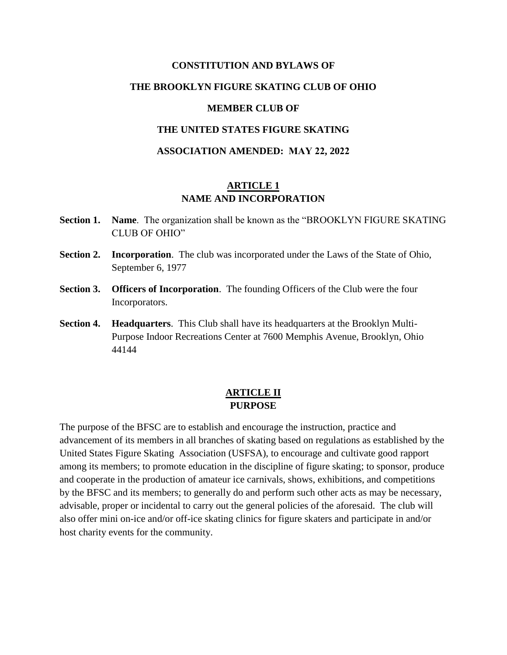# **CONSTITUTION AND BYLAWS OF THE BROOKLYN FIGURE SKATING CLUB OF OHIO MEMBER CLUB OF**

#### **THE UNITED STATES FIGURE SKATING**

#### **ASSOCIATION AMENDED: MAY 22, 2022**

### **ARTICLE 1 NAME AND INCORPORATION**

- **Section 1. Name**. The organization shall be known as the "BROOKLYN FIGURE SKATING CLUB OF OHIO"
- **Section 2. Incorporation**. The club was incorporated under the Laws of the State of Ohio, September 6, 1977
- **Section 3. Officers of Incorporation.** The founding Officers of the Club were the four Incorporators.
- **Section 4. Headquarters**. This Club shall have its headquarters at the Brooklyn Multi-Purpose Indoor Recreations Center at 7600 Memphis Avenue, Brooklyn, Ohio 44144

# **ARTICLE II PURPOSE**

The purpose of the BFSC are to establish and encourage the instruction, practice and advancement of its members in all branches of skating based on regulations as established by the United States Figure Skating Association (USFSA), to encourage and cultivate good rapport among its members; to promote education in the discipline of figure skating; to sponsor, produce and cooperate in the production of amateur ice carnivals, shows, exhibitions, and competitions by the BFSC and its members; to generally do and perform such other acts as may be necessary, advisable, proper or incidental to carry out the general policies of the aforesaid. The club will also offer mini on-ice and/or off-ice skating clinics for figure skaters and participate in and/or host charity events for the community.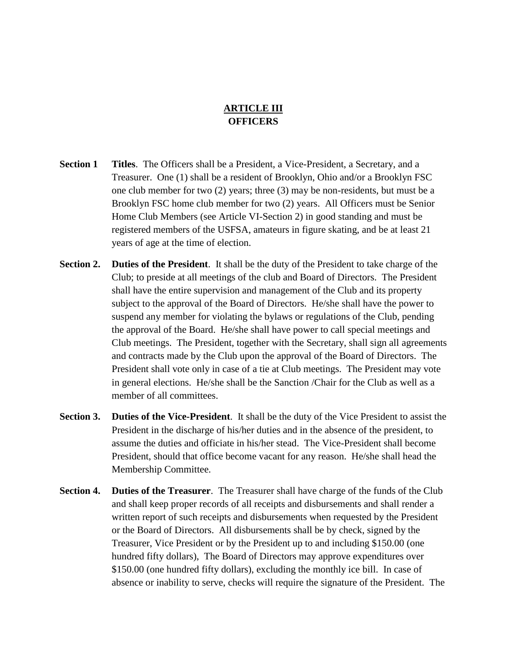# **ARTICLE III OFFICERS**

- **Section 1 Titles**. The Officers shall be a President, a Vice-President, a Secretary, and a Treasurer. One (1) shall be a resident of Brooklyn, Ohio and/or a Brooklyn FSC one club member for two (2) years; three (3) may be non-residents, but must be a Brooklyn FSC home club member for two (2) years. All Officers must be Senior Home Club Members (see Article VI-Section 2) in good standing and must be registered members of the USFSA, amateurs in figure skating, and be at least 21 years of age at the time of election.
- **Section 2. Duties of the President**. It shall be the duty of the President to take charge of the Club; to preside at all meetings of the club and Board of Directors. The President shall have the entire supervision and management of the Club and its property subject to the approval of the Board of Directors. He/she shall have the power to suspend any member for violating the bylaws or regulations of the Club, pending the approval of the Board. He/she shall have power to call special meetings and Club meetings. The President, together with the Secretary, shall sign all agreements and contracts made by the Club upon the approval of the Board of Directors. The President shall vote only in case of a tie at Club meetings. The President may vote in general elections. He/she shall be the Sanction /Chair for the Club as well as a member of all committees.
- **Section 3. Duties of the Vice-President**. It shall be the duty of the Vice President to assist the President in the discharge of his/her duties and in the absence of the president, to assume the duties and officiate in his/her stead. The Vice-President shall become President, should that office become vacant for any reason. He/she shall head the Membership Committee.
- **Section 4. Duties of the Treasurer**. The Treasurer shall have charge of the funds of the Club and shall keep proper records of all receipts and disbursements and shall render a written report of such receipts and disbursements when requested by the President or the Board of Directors. All disbursements shall be by check, signed by the Treasurer, Vice President or by the President up to and including \$150.00 (one hundred fifty dollars), The Board of Directors may approve expenditures over \$150.00 (one hundred fifty dollars), excluding the monthly ice bill. In case of absence or inability to serve, checks will require the signature of the President. The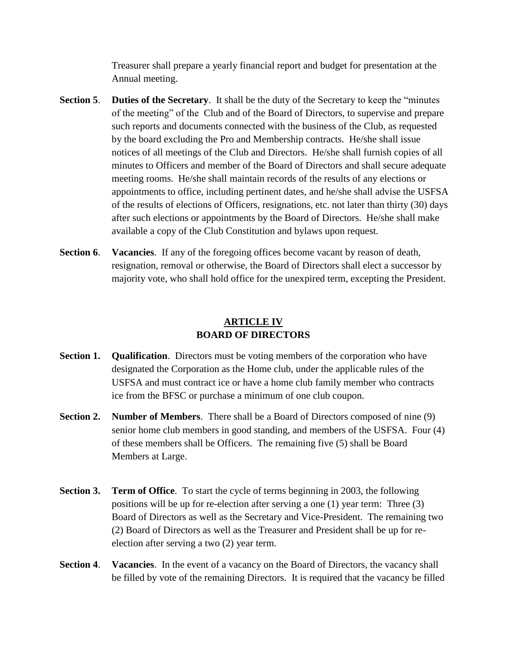Treasurer shall prepare a yearly financial report and budget for presentation at the Annual meeting.

- **Section 5**. **Duties of the Secretary**. It shall be the duty of the Secretary to keep the "minutes of the meeting" of the Club and of the Board of Directors, to supervise and prepare such reports and documents connected with the business of the Club, as requested by the board excluding the Pro and Membership contracts. He/she shall issue notices of all meetings of the Club and Directors. He/she shall furnish copies of all minutes to Officers and member of the Board of Directors and shall secure adequate meeting rooms. He/she shall maintain records of the results of any elections or appointments to office, including pertinent dates, and he/she shall advise the USFSA of the results of elections of Officers, resignations, etc. not later than thirty (30) days after such elections or appointments by the Board of Directors. He/she shall make available a copy of the Club Constitution and bylaws upon request.
- **Section 6**. **Vacancies**. If any of the foregoing offices become vacant by reason of death, resignation, removal or otherwise, the Board of Directors shall elect a successor by majority vote, who shall hold office for the unexpired term, excepting the President.

# **ARTICLE IV BOARD OF DIRECTORS**

- **Section 1. Qualification.** Directors must be voting members of the corporation who have designated the Corporation as the Home club, under the applicable rules of the USFSA and must contract ice or have a home club family member who contracts ice from the BFSC or purchase a minimum of one club coupon.
- **Section 2. Number of Members**. There shall be a Board of Directors composed of nine (9) senior home club members in good standing, and members of the USFSA. Four (4) of these members shall be Officers. The remaining five (5) shall be Board Members at Large.
- **Section 3. Term of Office**. To start the cycle of terms beginning in 2003, the following positions will be up for re-election after serving a one (1) year term: Three (3) Board of Directors as well as the Secretary and Vice-President. The remaining two (2) Board of Directors as well as the Treasurer and President shall be up for reelection after serving a two (2) year term.
- **Section 4. Vacancies**. In the event of a vacancy on the Board of Directors, the vacancy shall be filled by vote of the remaining Directors. It is required that the vacancy be filled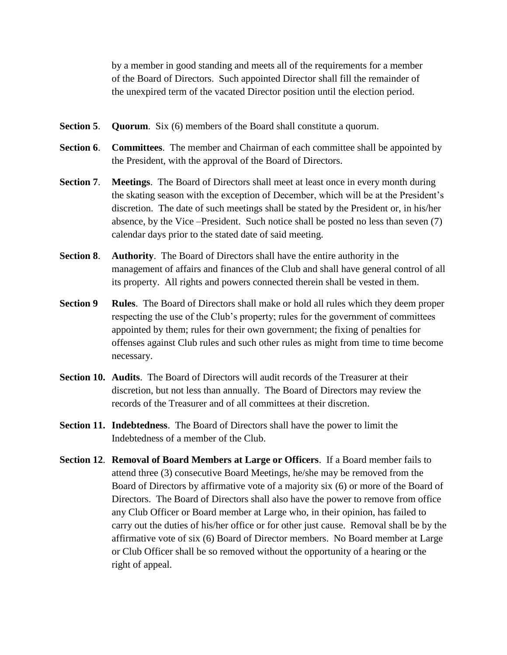by a member in good standing and meets all of the requirements for a member of the Board of Directors. Such appointed Director shall fill the remainder of the unexpired term of the vacated Director position until the election period.

- **Section 5**. **Quorum**. Six (6) members of the Board shall constitute a quorum.
- **Section 6**. **Committees**. The member and Chairman of each committee shall be appointed by the President, with the approval of the Board of Directors.
- **Section 7**. **Meetings**. The Board of Directors shall meet at least once in every month during the skating season with the exception of December, which will be at the President's discretion. The date of such meetings shall be stated by the President or, in his/her absence, by the Vice –President. Such notice shall be posted no less than seven (7) calendar days prior to the stated date of said meeting.
- **Section 8**. **Authority**. The Board of Directors shall have the entire authority in the management of affairs and finances of the Club and shall have general control of all its property. All rights and powers connected therein shall be vested in them.
- **Section 9** Rules. The Board of Directors shall make or hold all rules which they deem proper respecting the use of the Club's property; rules for the government of committees appointed by them; rules for their own government; the fixing of penalties for offenses against Club rules and such other rules as might from time to time become necessary.
- **Section 10. Audits**. The Board of Directors will audit records of the Treasurer at their discretion, but not less than annually. The Board of Directors may review the records of the Treasurer and of all committees at their discretion.
- **Section 11. Indebtedness**. The Board of Directors shall have the power to limit the Indebtedness of a member of the Club.
- **Section 12**. **Removal of Board Members at Large or Officers**. If a Board member fails to attend three (3) consecutive Board Meetings, he/she may be removed from the Board of Directors by affirmative vote of a majority six (6) or more of the Board of Directors. The Board of Directors shall also have the power to remove from office any Club Officer or Board member at Large who, in their opinion, has failed to carry out the duties of his/her office or for other just cause. Removal shall be by the affirmative vote of six (6) Board of Director members. No Board member at Large or Club Officer shall be so removed without the opportunity of a hearing or the right of appeal.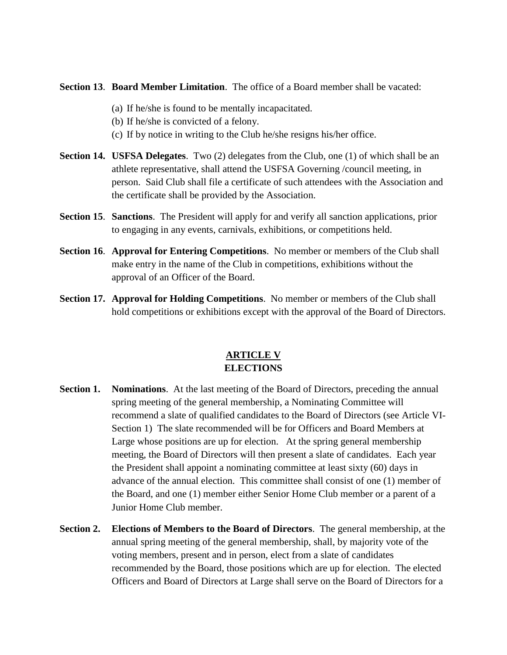**Section 13**. **Board Member Limitation**. The office of a Board member shall be vacated:

- (a) If he/she is found to be mentally incapacitated.
- (b) If he/she is convicted of a felony.
- (c) If by notice in writing to the Club he/she resigns his/her office.
- **Section 14. USFSA Delegates.** Two (2) delegates from the Club, one (1) of which shall be an athlete representative, shall attend the USFSA Governing /council meeting, in person. Said Club shall file a certificate of such attendees with the Association and the certificate shall be provided by the Association.
- **Section 15**. **Sanctions**. The President will apply for and verify all sanction applications, prior to engaging in any events, carnivals, exhibitions, or competitions held.
- **Section 16**. **Approval for Entering Competitions**. No member or members of the Club shall make entry in the name of the Club in competitions, exhibitions without the approval of an Officer of the Board.
- **Section 17. Approval for Holding Competitions**. No member or members of the Club shall hold competitions or exhibitions except with the approval of the Board of Directors.

# **ARTICLE V ELECTIONS**

- **Section 1. Nominations.** At the last meeting of the Board of Directors, preceding the annual spring meeting of the general membership, a Nominating Committee will recommend a slate of qualified candidates to the Board of Directors (see Article VI-Section 1) The slate recommended will be for Officers and Board Members at Large whose positions are up for election. At the spring general membership meeting, the Board of Directors will then present a slate of candidates. Each year the President shall appoint a nominating committee at least sixty (60) days in advance of the annual election. This committee shall consist of one (1) member of the Board, and one (1) member either Senior Home Club member or a parent of a Junior Home Club member.
- **Section 2. Elections of Members to the Board of Directors**. The general membership, at the annual spring meeting of the general membership, shall, by majority vote of the voting members, present and in person, elect from a slate of candidates recommended by the Board, those positions which are up for election. The elected Officers and Board of Directors at Large shall serve on the Board of Directors for a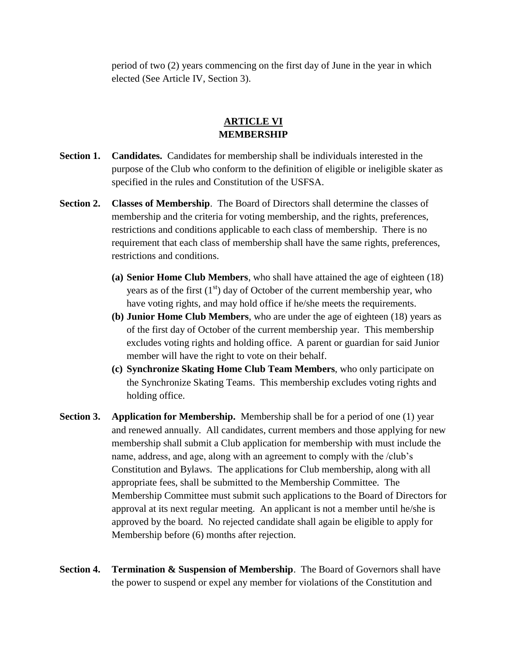period of two (2) years commencing on the first day of June in the year in which elected (See Article IV, Section 3).

### **ARTICLE VI MEMBERSHIP**

- **Section 1. Candidates.** Candidates for membership shall be individuals interested in the purpose of the Club who conform to the definition of eligible or ineligible skater as specified in the rules and Constitution of the USFSA.
- **Section 2. Classes of Membership**. The Board of Directors shall determine the classes of membership and the criteria for voting membership, and the rights, preferences, restrictions and conditions applicable to each class of membership. There is no requirement that each class of membership shall have the same rights, preferences, restrictions and conditions.
	- **(a) Senior Home Club Members**, who shall have attained the age of eighteen (18) years as of the first  $(1<sup>st</sup>)$  day of October of the current membership year, who have voting rights, and may hold office if he/she meets the requirements.
	- **(b) Junior Home Club Members**, who are under the age of eighteen (18) years as of the first day of October of the current membership year. This membership excludes voting rights and holding office. A parent or guardian for said Junior member will have the right to vote on their behalf.
	- **(c) Synchronize Skating Home Club Team Members**, who only participate on the Synchronize Skating Teams. This membership excludes voting rights and holding office.
- **Section 3.** Application for Membership. Membership shall be for a period of one (1) year and renewed annually. All candidates, current members and those applying for new membership shall submit a Club application for membership with must include the name, address, and age, along with an agreement to comply with the /club's Constitution and Bylaws. The applications for Club membership, along with all appropriate fees, shall be submitted to the Membership Committee. The Membership Committee must submit such applications to the Board of Directors for approval at its next regular meeting. An applicant is not a member until he/she is approved by the board. No rejected candidate shall again be eligible to apply for Membership before (6) months after rejection.
- **Section 4. Termination & Suspension of Membership**. The Board of Governors shall have the power to suspend or expel any member for violations of the Constitution and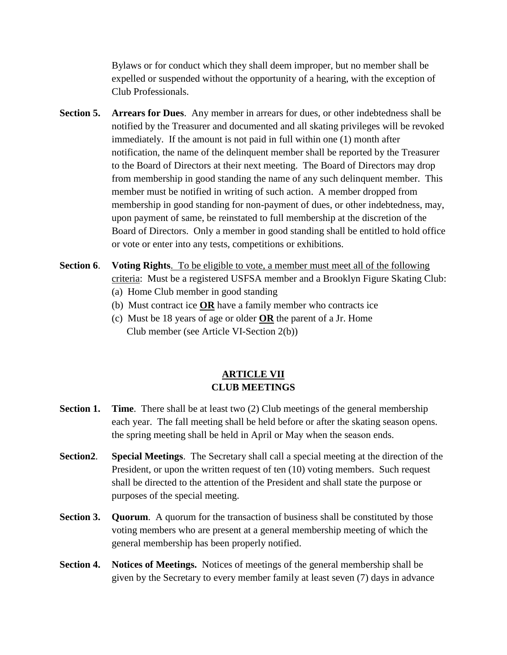Bylaws or for conduct which they shall deem improper, but no member shall be expelled or suspended without the opportunity of a hearing, with the exception of Club Professionals.

- **Section 5. Arrears for Dues**. Any member in arrears for dues, or other indebtedness shall be notified by the Treasurer and documented and all skating privileges will be revoked immediately. If the amount is not paid in full within one (1) month after notification, the name of the delinquent member shall be reported by the Treasurer to the Board of Directors at their next meeting. The Board of Directors may drop from membership in good standing the name of any such delinquent member. This member must be notified in writing of such action. A member dropped from membership in good standing for non-payment of dues, or other indebtedness, may, upon payment of same, be reinstated to full membership at the discretion of the Board of Directors. Only a member in good standing shall be entitled to hold office or vote or enter into any tests, competitions or exhibitions.
- **Section 6**. **Voting Rights**. To be eligible to vote, a member must meet all of the following criteria: Must be a registered USFSA member and a Brooklyn Figure Skating Club:
	- (a) Home Club member in good standing
	- (b) Must contract ice **OR** have a family member who contracts ice
	- (c) Must be 18 years of age or older **OR** the parent of a Jr. Home Club member (see Article VI-Section 2(b))

#### **ARTICLE VII CLUB MEETINGS**

- **Section 1. Time.** There shall be at least two (2) Club meetings of the general membership each year. The fall meeting shall be held before or after the skating season opens. the spring meeting shall be held in April or May when the season ends.
- **Section2**. **Special Meetings**. The Secretary shall call a special meeting at the direction of the President, or upon the written request of ten (10) voting members. Such request shall be directed to the attention of the President and shall state the purpose or purposes of the special meeting.
- **Section 3.** Quorum. A quorum for the transaction of business shall be constituted by those voting members who are present at a general membership meeting of which the general membership has been properly notified.
- **Section 4. Notices of Meetings.** Notices of meetings of the general membership shall be given by the Secretary to every member family at least seven (7) days in advance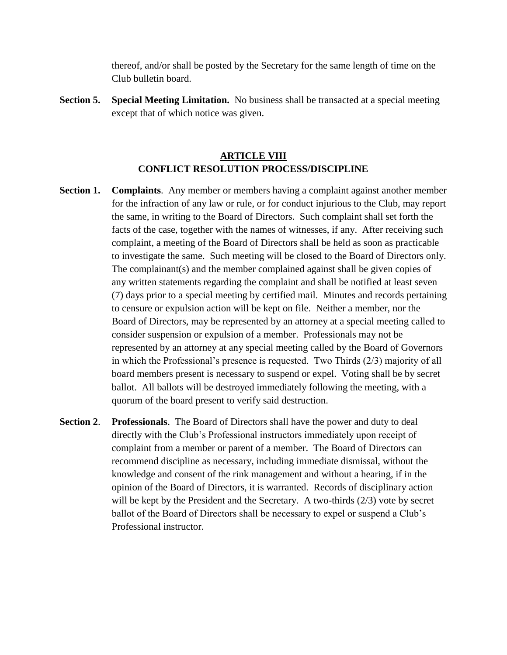thereof, and/or shall be posted by the Secretary for the same length of time on the Club bulletin board.

**Section 5. Special Meeting Limitation.** No business shall be transacted at a special meeting except that of which notice was given.

#### **ARTICLE VIII CONFLICT RESOLUTION PROCESS/DISCIPLINE**

- **Section 1. Complaints.** Any member or members having a complaint against another member for the infraction of any law or rule, or for conduct injurious to the Club, may report the same, in writing to the Board of Directors. Such complaint shall set forth the facts of the case, together with the names of witnesses, if any. After receiving such complaint, a meeting of the Board of Directors shall be held as soon as practicable to investigate the same. Such meeting will be closed to the Board of Directors only. The complainant(s) and the member complained against shall be given copies of any written statements regarding the complaint and shall be notified at least seven (7) days prior to a special meeting by certified mail. Minutes and records pertaining to censure or expulsion action will be kept on file. Neither a member, nor the Board of Directors, may be represented by an attorney at a special meeting called to consider suspension or expulsion of a member. Professionals may not be represented by an attorney at any special meeting called by the Board of Governors in which the Professional's presence is requested. Two Thirds (2/3) majority of all board members present is necessary to suspend or expel. Voting shall be by secret ballot. All ballots will be destroyed immediately following the meeting, with a quorum of the board present to verify said destruction.
- **Section 2**. **Professionals**. The Board of Directors shall have the power and duty to deal directly with the Club's Professional instructors immediately upon receipt of complaint from a member or parent of a member. The Board of Directors can recommend discipline as necessary, including immediate dismissal, without the knowledge and consent of the rink management and without a hearing, if in the opinion of the Board of Directors, it is warranted. Records of disciplinary action will be kept by the President and the Secretary. A two-thirds (2/3) vote by secret ballot of the Board of Directors shall be necessary to expel or suspend a Club's Professional instructor.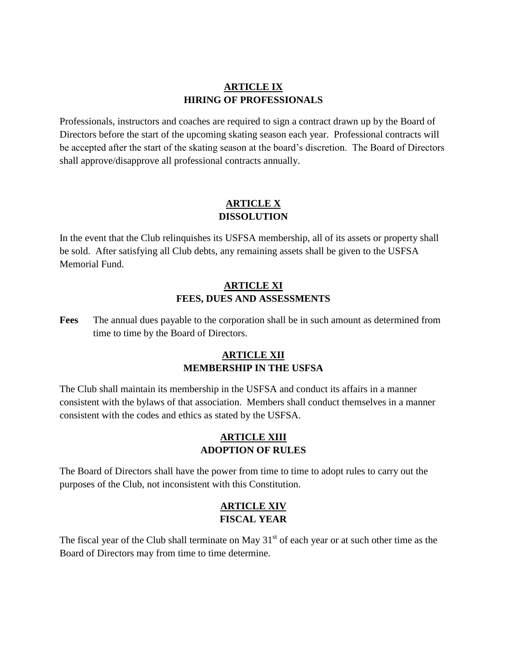# **ARTICLE IX HIRING OF PROFESSIONALS**

Professionals, instructors and coaches are required to sign a contract drawn up by the Board of Directors before the start of the upcoming skating season each year. Professional contracts will be accepted after the start of the skating season at the board's discretion. The Board of Directors shall approve/disapprove all professional contracts annually.

# **ARTICLE X DISSOLUTION**

In the event that the Club relinquishes its USFSA membership, all of its assets or property shall be sold. After satisfying all Club debts, any remaining assets shall be given to the USFSA Memorial Fund.

# **ARTICLE XI FEES, DUES AND ASSESSMENTS**

**Fees** The annual dues payable to the corporation shall be in such amount as determined from time to time by the Board of Directors.

# **ARTICLE XII MEMBERSHIP IN THE USFSA**

The Club shall maintain its membership in the USFSA and conduct its affairs in a manner consistent with the bylaws of that association. Members shall conduct themselves in a manner consistent with the codes and ethics as stated by the USFSA.

# **ARTICLE XIII ADOPTION OF RULES**

The Board of Directors shall have the power from time to time to adopt rules to carry out the purposes of the Club, not inconsistent with this Constitution.

# **ARTICLE XIV FISCAL YEAR**

The fiscal year of the Club shall terminate on May  $31<sup>st</sup>$  of each year or at such other time as the Board of Directors may from time to time determine.